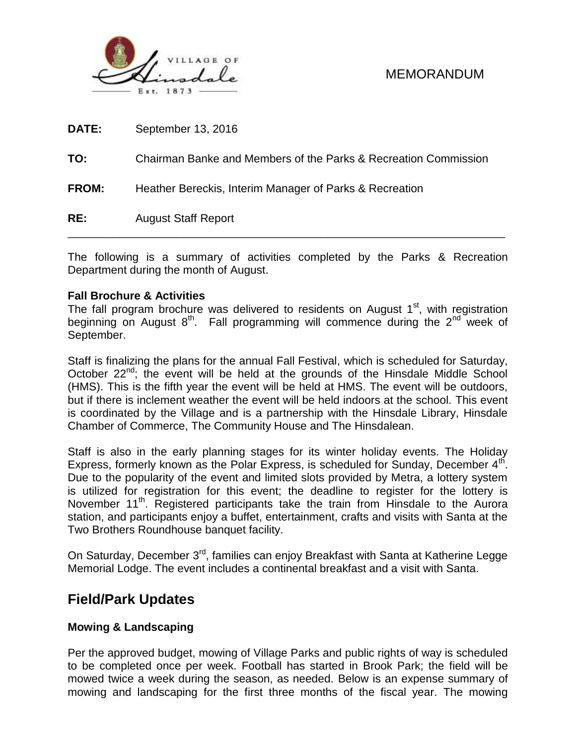

| RE:          | <b>August Staff Report</b>                                      |
|--------------|-----------------------------------------------------------------|
| <b>FROM:</b> | Heather Bereckis, Interim Manager of Parks & Recreation         |
| TO:          | Chairman Banke and Members of the Parks & Recreation Commission |
| DATE:        | September 13, 2016                                              |

The following is a summary of activities completed by the Parks & Recreation Department during the month of August.

#### **Fall Brochure & Activities**

The fall program brochure was delivered to residents on August  $1<sup>st</sup>$ , with registration beginning on August  $8<sup>th</sup>$ . Fall programming will commence during the  $2<sup>nd</sup>$  week of September.

Staff is finalizing the plans for the annual Fall Festival, which is scheduled for Saturday, October 22<sup>nd</sup>; the event will be held at the grounds of the Hinsdale Middle School (HMS). This is the fifth year the event will be held at HMS. The event will be outdoors, but if there is inclement weather the event will be held indoors at the school. This event is coordinated by the Village and is a partnership with the Hinsdale Library, Hinsdale Chamber of Commerce, The Community House and The Hinsdalean.

Staff is also in the early planning stages for its winter holiday events. The Holiday Express, formerly known as the Polar Express, is scheduled for Sunday, December  $4<sup>th</sup>$ . Due to the popularity of the event and limited slots provided by Metra, a lottery system is utilized for registration for this event; the deadline to register for the lottery is November 11<sup>th</sup>. Registered participants take the train from Hinsdale to the Aurora station, and participants enjoy a buffet, entertainment, crafts and visits with Santa at the Two Brothers Roundhouse banquet facility.

On Saturday, December 3<sup>rd</sup>, families can enjoy Breakfast with Santa at Katherine Legge Memorial Lodge. The event includes a continental breakfast and a visit with Santa.

## **Field/Park Updates**

### **Mowing & Landscaping**

Per the approved budget, mowing of Village Parks and public rights of way is scheduled to be completed once per week. Football has started in Brook Park; the field will be mowed twice a week during the season, as needed. Below is an expense summary of mowing and landscaping for the first three months of the fiscal year. The mowing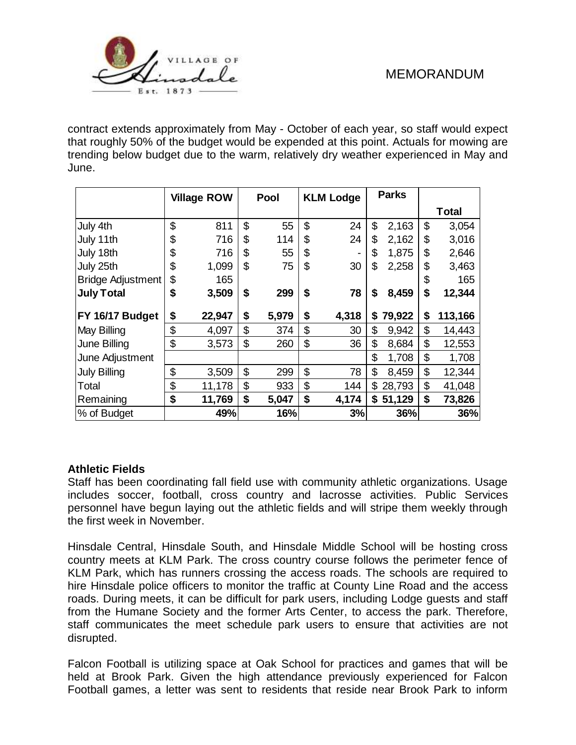

contract extends approximately from May - October of each year, so staff would expect that roughly 50% of the budget would be expended at this point. Actuals for mowing are trending below budget due to the warm, relatively dry weather experienced in May and June.

|                     | <b>Village ROW</b> |        | Pool |       | <b>KLM Lodge</b> |                | <b>Parks</b> |        |               |
|---------------------|--------------------|--------|------|-------|------------------|----------------|--------------|--------|---------------|
|                     |                    |        |      |       |                  |                |              |        | <b>Total</b>  |
| July 4th            | \$                 | 811    | \$   | 55    | \$               | 24             | \$           | 2,163  | \$<br>3,054   |
| July 11th           | \$                 | 716    | \$   | 114   | \$               | 24             | \$           | 2,162  | \$<br>3,016   |
| July 18th           | \$                 | 716    | \$   | 55    | \$               | $\blacksquare$ | \$           | 1,875  | \$<br>2,646   |
| July 25th           | \$                 | 1,099  | \$   | 75    | \$               | 30             | \$           | 2,258  | \$<br>3,463   |
| Bridge Adjustment   | \$                 | 165    |      |       |                  |                |              |        | \$<br>165     |
| <b>July Total</b>   | \$                 | 3,509  | \$   | 299   | \$               | 78             | \$           | 8,459  | \$<br>12,344  |
| FY 16/17 Budget     | \$                 | 22,947 | \$   | 5,979 | \$               | 4,318          | S            | 79,922 | \$<br>113,166 |
| May Billing         | \$                 | 4,097  | \$   | 374   | \$               | 30             | \$           | 9,942  | \$<br>14,443  |
| June Billing        | \$                 | 3,573  | \$   | 260   | \$               | 36             | \$           | 8,684  | \$<br>12,553  |
| June Adjustment     |                    |        |      |       |                  |                | \$           | 1,708  | \$<br>1,708   |
| <b>July Billing</b> | \$                 | 3,509  | \$   | 299   | \$               | 78             | \$           | 8,459  | \$<br>12,344  |
| Total               | \$                 | 11,178 | \$   | 933   | \$               | 144            | \$           | 28,793 | \$<br>41,048  |
| Remaining           | \$                 | 11,769 | \$   | 5,047 | \$               | 4,174          | \$           | 51,129 | \$<br>73,826  |
| % of Budget         |                    | 49%    |      | 16%   |                  | 3%             |              | 36%    | 36%           |

### **Athletic Fields**

Staff has been coordinating fall field use with community athletic organizations. Usage includes soccer, football, cross country and lacrosse activities. Public Services personnel have begun laying out the athletic fields and will stripe them weekly through the first week in November.

Hinsdale Central, Hinsdale South, and Hinsdale Middle School will be hosting cross country meets at KLM Park. The cross country course follows the perimeter fence of KLM Park, which has runners crossing the access roads. The schools are required to hire Hinsdale police officers to monitor the traffic at County Line Road and the access roads. During meets, it can be difficult for park users, including Lodge guests and staff from the Humane Society and the former Arts Center, to access the park. Therefore, staff communicates the meet schedule park users to ensure that activities are not disrupted.

Falcon Football is utilizing space at Oak School for practices and games that will be held at Brook Park. Given the high attendance previously experienced for Falcon Football games, a letter was sent to residents that reside near Brook Park to inform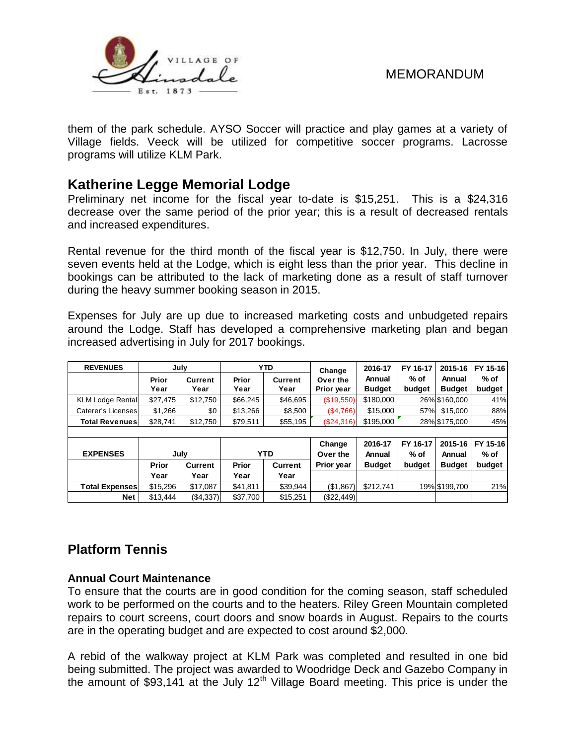

them of the park schedule. AYSO Soccer will practice and play games at a variety of Village fields. Veeck will be utilized for competitive soccer programs. Lacrosse programs will utilize KLM Park.

# **Katherine Legge Memorial Lodge**

Preliminary net income for the fiscal year to-date is \$15,251. This is a \$24,316 decrease over the same period of the prior year; this is a result of decreased rentals and increased expenditures.

Rental revenue for the third month of the fiscal year is \$12,750. In July, there were seven events held at the Lodge, which is eight less than the prior year. This decline in bookings can be attributed to the lack of marketing done as a result of staff turnover during the heavy summer booking season in 2015.

Expenses for July are up due to increased marketing costs and unbudgeted repairs around the Lodge. Staff has developed a comprehensive marketing plan and began increased advertising in July for 2017 bookings.

| <b>REVENUES</b>                                                                                                                                                                                                                                                                                                                                   | July     |                | <b>YTD</b> |                | Change     | 2016-17       | FY 16-17 | 2015-16       | FY 15-16 |
|---------------------------------------------------------------------------------------------------------------------------------------------------------------------------------------------------------------------------------------------------------------------------------------------------------------------------------------------------|----------|----------------|------------|----------------|------------|---------------|----------|---------------|----------|
|                                                                                                                                                                                                                                                                                                                                                   | Prior    | <b>Current</b> | Prior      | <b>Current</b> | Over the   | Annual        | $%$ of   | Annual        | $%$ of   |
|                                                                                                                                                                                                                                                                                                                                                   | Year     | Year           | Year       | Year           | Prior year | <b>Budget</b> | budget   | <b>Budget</b> | budget   |
| <b>KLM Lodge Rental</b>                                                                                                                                                                                                                                                                                                                           | \$27,475 | \$12,750       | \$66,245   | \$46,695       | (\$19,550) | \$180,000     |          | 26% \$160,000 | 41%      |
| <b>Caterer's Licenses</b>                                                                                                                                                                                                                                                                                                                         | \$1,266  | \$0            | \$13,266   | \$8,500        | (\$4,766)  | \$15,000      | 57%      | \$15,000      | 88%      |
| <b>Total Revenues</b>                                                                                                                                                                                                                                                                                                                             | \$28,741 | \$12,750       | \$79,511   | \$55,195       | (\$24,316) | \$195,000     |          | 28% \$175,000 | 45%      |
|                                                                                                                                                                                                                                                                                                                                                   |          |                |            |                |            |               |          |               |          |
|                                                                                                                                                                                                                                                                                                                                                   |          |                |            |                | Change     | 2016-17       | FY 16-17 | 2015-16       | FY 15-16 |
| <b>EXPENSES</b>                                                                                                                                                                                                                                                                                                                                   | July     |                |            | <b>YTD</b>     | Over the   | Annual        | $%$ of   | Annual        | $%$ of   |
|                                                                                                                                                                                                                                                                                                                                                   | Prior    | <b>Current</b> | Prior      | <b>Current</b> | Prior year | <b>Budget</b> | budget   | <b>Budget</b> | budget   |
|                                                                                                                                                                                                                                                                                                                                                   | Year     | Year           | Year       | Year           |            |               |          |               |          |
| <b>Total Expenses</b>                                                                                                                                                                                                                                                                                                                             | \$15,296 | \$17,087       | \$41,811   | \$39,944       | (\$1,867)  | \$212,741     |          | 19% \$199,700 | 21%      |
| <b>Net</b>                                                                                                                                                                                                                                                                                                                                        | \$13,444 | ( \$4,337)     | \$37,700   | \$15,251       | (\$22,449) |               |          |               |          |
| <b>Platform Tennis</b><br><b>Annual Court Maintenance</b>                                                                                                                                                                                                                                                                                         |          |                |            |                |            |               |          |               |          |
| To ensure that the courts are in good condition for the coming season, staff scheduled<br>work to be performed on the courts and to the heaters. Riley Green Mountain completed<br>repairs to court screens, court doors and snow boards in August. Repairs to the courts<br>are in the operating budget and are expected to cost around \$2,000. |          |                |            |                |            |               |          |               |          |
| A rebid of the walkway project at KLM Park was completed and resulted in one bid<br>being submitted. The project was awarded to Woodridge Deck and Gazebo Company in<br>the amount of \$93,141 at the July $12th$ Village Board meeting. This price is under the                                                                                  |          |                |            |                |            |               |          |               |          |

# **Platform Tennis**

### **Annual Court Maintenance**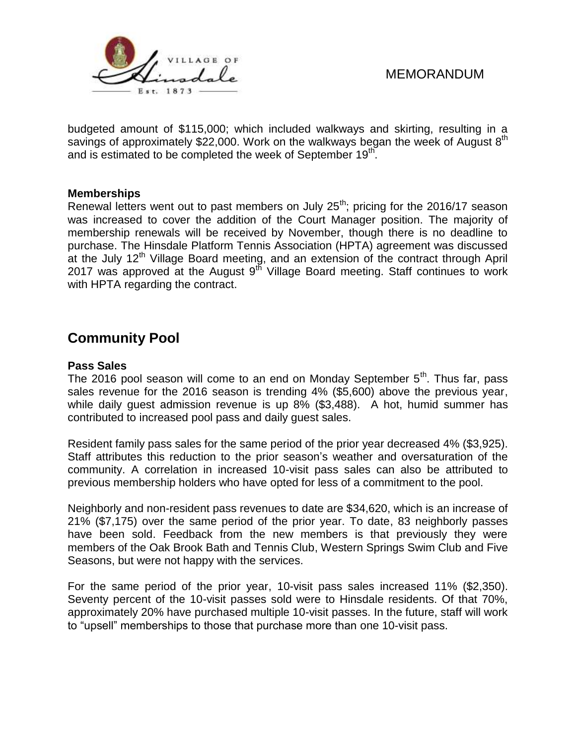

budgeted amount of \$115,000; which included walkways and skirting, resulting in a savings of approximately \$22,000. Work on the walkways began the week of August  $8<sup>th</sup>$ and is estimated to be completed the week of September 19<sup>th</sup>.

#### **Memberships**

Renewal letters went out to past members on July  $25<sup>th</sup>$ ; pricing for the 2016/17 season was increased to cover the addition of the Court Manager position. The majority of membership renewals will be received by November, though there is no deadline to purchase. The Hinsdale Platform Tennis Association (HPTA) agreement was discussed at the July  $12<sup>th</sup>$  Village Board meeting, and an extension of the contract through April 2017 was approved at the August  $9^{th}$  Village Board meeting. Staff continues to work with HPTA regarding the contract.

# **Community Pool**

#### **Pass Sales**

The 2016 pool season will come to an end on Monday September  $5<sup>th</sup>$ . Thus far, pass sales revenue for the 2016 season is trending 4% (\$5,600) above the previous year, while daily guest admission revenue is up 8% (\$3,488). A hot, humid summer has contributed to increased pool pass and daily guest sales.

Resident family pass sales for the same period of the prior year decreased 4% (\$3,925). Staff attributes this reduction to the prior season's weather and oversaturation of the community. A correlation in increased 10-visit pass sales can also be attributed to previous membership holders who have opted for less of a commitment to the pool.

Neighborly and non-resident pass revenues to date are \$34,620, which is an increase of 21% (\$7,175) over the same period of the prior year. To date, 83 neighborly passes have been sold. Feedback from the new members is that previously they were members of the Oak Brook Bath and Tennis Club, Western Springs Swim Club and Five Seasons, but were not happy with the services.

For the same period of the prior year, 10-visit pass sales increased 11% (\$2,350). Seventy percent of the 10-visit passes sold were to Hinsdale residents. Of that 70%, approximately 20% have purchased multiple 10-visit passes. In the future, staff will work to "upsell" memberships to those that purchase more than one 10-visit pass.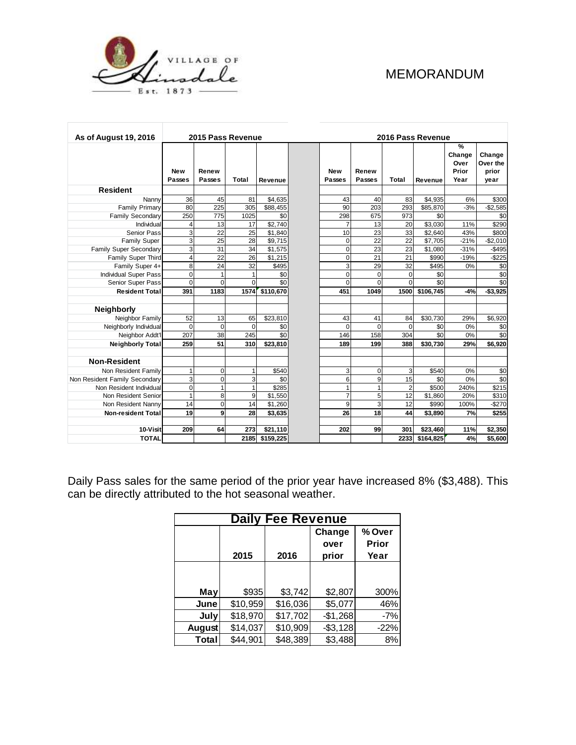

| <b>As of August 19, 2016</b>  | 2015 Pass Revenue    |                 |              |           |                      | 2016 Pass Revenue |                |           |                                                  |                                     |  |
|-------------------------------|----------------------|-----------------|--------------|-----------|----------------------|-------------------|----------------|-----------|--------------------------------------------------|-------------------------------------|--|
|                               | <b>New</b><br>Passes | Renew<br>Passes | <b>Total</b> | Revenue   | <b>New</b><br>Passes | Renew<br>Passes   | Total          | Revenue   | $\frac{9}{6}$<br>Change<br>Over<br>Prior<br>Year | Change<br>Over the<br>prior<br>year |  |
| <b>Resident</b>               |                      |                 |              |           |                      |                   |                |           |                                                  |                                     |  |
| Nanny                         | 36                   | 45              | 81           | \$4,635   | 43                   | 40                | 83             | \$4,935   | 6%                                               | \$300                               |  |
| <b>Family Primary</b>         | 80                   | 225             | 305          | \$88,455  | 90                   | 203               | 293            | \$85,870  | $-3%$                                            | $-$2,585$                           |  |
| <b>Family Secondary</b>       | 250                  | 775             | 1025         | \$0       | 298                  | 675               | 973            | \$0       |                                                  | \$0                                 |  |
| Individual                    | 4                    | 13              | 17           | \$2,740   | $\overline{7}$       | 13                | 20             | \$3,030   | 11%                                              | \$290                               |  |
| Senior Pass                   | 3                    | 22              | 25           | \$1,840   | 10                   | 23                | 33             | \$2,640   | 43%                                              | \$800                               |  |
| <b>Family Super</b>           | 3                    | 25              | 28           | \$9,715   | $\mathbf 0$          | 22                | 22             | \$7,705   | $-21%$                                           | $-$2,010$                           |  |
| Family Super Secondary        | 3                    | 31              | 34           | \$1,575   | $\mathbf 0$          | 23                | 23             | \$1,080   | $-31%$                                           | $-$495$                             |  |
| Family Super Third            | $\overline{4}$       | 22              | 26           | \$1,215   | $\mathbf 0$          | 21                | 21             | \$990     | $-19%$                                           | $-$ \$225                           |  |
| Family Super 4+               | 8                    | 24              | 32           | \$495     | 3                    | 29                | 32             | \$495     | 0%                                               | \$0                                 |  |
| <b>Individual Super Pass</b>  | $\Omega$             | $\mathbf{1}$    | $\mathbf{1}$ | \$0       | $\Omega$             | $\Omega$          | $\Omega$       | \$0       |                                                  | \$0                                 |  |
| Senior Super Pass             | $\Omega$             | $\Omega$        | $\mathbf 0$  | \$0       | $\mathbf 0$          | $\mathbf 0$       | $\Omega$       | \$0       |                                                  | \$0                                 |  |
| <b>Resident Total</b>         | 391                  | 1183            | 1574         | \$110,670 | 451                  | 1049              | 1500           | \$106,745 | $-4%$                                            | $- $3,925$                          |  |
| <b>Neighborly</b>             |                      |                 |              |           |                      |                   |                |           |                                                  |                                     |  |
| Neighbor Family               | 52                   | 13              | 65           | \$23,810  | 43                   | 41                | 84             | \$30,730  | 29%                                              | \$6,920                             |  |
| Neighborly Individual         | $\Omega$             | $\mathbf 0$     | $\mathbf 0$  | \$0       | $\Omega$             | $\mathbf 0$       | $\mathbf 0$    | \$0       | 0%                                               | \$0                                 |  |
| Neighbor Addt'l               | 207                  | 38              | 245          | \$0       | 146                  | 158               | 304            | \$0       | 0%                                               | \$0                                 |  |
| <b>Neighborly Total</b>       | 259                  | 51              | 310          | \$23,810  | 189                  | 199               | 388            | \$30,730  | 29%                                              | \$6,920                             |  |
| <b>Non-Resident</b>           |                      |                 |              |           |                      |                   |                |           |                                                  |                                     |  |
| Non Resident Family           |                      | $\mathbf 0$     | 1            | \$540     | 3                    | $\mathbf 0$       | 3              | \$540     | 0%                                               | \$0                                 |  |
| Non Resident Family Secondary | 3                    | $\mathbf 0$     | 3            | \$0       | 6                    | 9                 | 15             | \$0       | 0%                                               | \$0                                 |  |
| Non Resident Individual       | $\mathbf 0$          | $\mathbf{1}$    | $\mathbf{1}$ | \$285     | $\mathbf{1}$         | $\mathbf{1}$      | $\overline{2}$ | \$500     | 240%                                             | \$215                               |  |
| Non Resident Senior           | 1                    | 8               | 9            | \$1,550   | $\overline{7}$       | 5                 | 12             | \$1,860   | 20%                                              | \$310                               |  |
| Non Resident Nanny            | 14                   | $\mathbf 0$     | 14           | \$1,260   | 9                    | 3                 | 12             | \$990     | 100%                                             | $-$270$                             |  |
| <b>Non-resident Total</b>     | 19                   | 9               | 28           | \$3,635   | 26                   | 18                | 44             | \$3,890   | 7%                                               | \$255                               |  |
|                               |                      |                 |              |           |                      |                   |                |           |                                                  |                                     |  |
| 10-Visit                      | 209                  | 64              | 273          | \$21,110  | 202                  | 99                | 301            | \$23,460  | 11%                                              | \$2,350                             |  |
| <b>TOTAL</b>                  |                      |                 | 2185         | \$159,225 |                      |                   | 2233           | \$164,825 | 4%                                               | \$5,600                             |  |

Daily Pass sales for the same period of the prior year have increased 8% (\$3,488). This can be directly attributed to the hot seasonal weather.

| <b>Daily Fee Revenue</b> |          |          |            |        |  |  |  |  |  |
|--------------------------|----------|----------|------------|--------|--|--|--|--|--|
|                          |          |          | Change     | % Over |  |  |  |  |  |
|                          |          |          | over       | Prior  |  |  |  |  |  |
|                          | 2015     | 2016     | prior      | Year   |  |  |  |  |  |
|                          |          |          |            |        |  |  |  |  |  |
|                          |          |          |            |        |  |  |  |  |  |
| May                      | \$935    | \$3,742  | \$2,807    | 300%   |  |  |  |  |  |
| June                     | \$10,959 | \$16,036 | \$5,077    | 46%    |  |  |  |  |  |
| July                     | \$18,970 | \$17,702 | $-$1,268$  | $-7%$  |  |  |  |  |  |
| August                   | \$14,037 | \$10,909 | $- $3,128$ | $-22%$ |  |  |  |  |  |
| <b>Total</b>             | \$44,901 | \$48,389 | \$3,488    | 8%     |  |  |  |  |  |